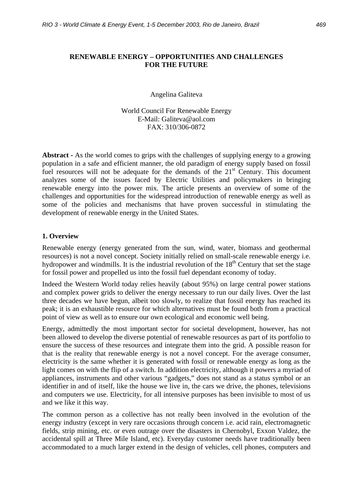# **RENEWABLE ENERGY – OPPORTUNITIES AND CHALLENGES FOR THE FUTURE**

Angelina Galiteva

World Council For Renewable Energy E-Mail: Galiteva@aol.com FAX: 310/306-0872

**Abstract -** As the world comes to grips with the challenges of supplying energy to a growing population in a safe and efficient manner, the old paradigm of energy supply based on fossil fuel resources will not be adequate for the demands of the  $21<sup>st</sup>$  Century. This document analyzes some of the issues faced by Electric Utilities and policymakers in bringing renewable energy into the power mix. The article presents an overview of some of the challenges and opportunities for the widespread introduction of renewable energy as well as some of the policies and mechanisms that have proven successful in stimulating the development of renewable energy in the United States.

### **1. Overview**

Renewable energy (energy generated from the sun, wind, water, biomass and geothermal resources) is not a novel concept. Society initially relied on small-scale renewable energy i.e. hydropower and windmills. It is the industrial revolution of the  $18<sup>th</sup>$  Century that set the stage for fossil power and propelled us into the fossil fuel dependant economy of today.

Indeed the Western World today relies heavily (about 95%) on large central power stations and complex power grids to deliver the energy necessary to run our daily lives. Over the last three decades we have begun, albeit too slowly, to realize that fossil energy has reached its peak; it is an exhaustible resource for which alternatives must be found both from a practical point of view as well as to ensure our own ecological and economic well being.

Energy, admittedly the most important sector for societal development, however, has not been allowed to develop the diverse potential of renewable resources as part of its portfolio to ensure the success of these resources and integrate them into the grid. A possible reason for that is the reality that renewable energy is not a novel concept. For the average consumer, electricity is the same whether it is generated with fossil or renewable energy as long as the light comes on with the flip of a switch. In addition electricity, although it powers a myriad of appliances, instruments and other various "gadgets," does not stand as a status symbol or an identifier in and of itself, like the house we live in, the cars we drive, the phones, televisions and computers we use. Electricity, for all intensive purposes has been invisible to most of us and we like it this way.

The common person as a collective has not really been involved in the evolution of the energy industry (except in very rare occasions through concern i.e. acid rain, electromagnetic fields, strip mining, etc. or even outrage over the disasters in Chernobyl, Exxon Valdez, the accidental spill at Three Mile Island, etc). Everyday customer needs have traditionally been accommodated to a much larger extend in the design of vehicles, cell phones, computers and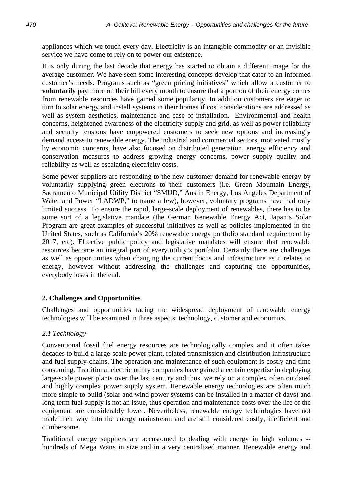appliances which we touch every day. Electricity is an intangible commodity or an invisible service we have come to rely on to power our existence.

It is only during the last decade that energy has started to obtain a different image for the average customer. We have seen some interesting concepts develop that cater to an informed customer's needs. Programs such as "green pricing initiatives" which allow a customer to **voluntarily** pay more on their bill every month to ensure that a portion of their energy comes from renewable resources have gained some popularity. In addition customers are eager to turn to solar energy and install systems in their homes if cost considerations are addressed as well as system aesthetics, maintenance and ease of installation. Environmental and health concerns, heightened awareness of the electricity supply and grid, as well as power reliability and security tensions have empowered customers to seek new options and increasingly demand access to renewable energy. The industrial and commercial sectors, motivated mostly by economic concerns, have also focused on distributed generation, energy efficiency and conservation measures to address growing energy concerns, power supply quality and reliability as well as escalating electricity costs.

Some power suppliers are responding to the new customer demand for renewable energy by voluntarily supplying green electrons to their customers (i.e. Green Mountain Energy, Sacramento Municipal Utility District "SMUD," Austin Energy, Los Angeles Department of Water and Power "LADWP," to name a few), however, voluntary programs have had only limited success. To ensure the rapid, large-scale deployment of renewables, there has to be some sort of a legislative mandate (the German Renewable Energy Act, Japan's Solar Program are great examples of successful initiatives as well as policies implemented in the United States, such as California's 20% renewable energy portfolio standard requirement by 2017, etc). Effective public policy and legislative mandates will ensure that renewable resources become an integral part of every utility's portfolio. Certainly there are challenges as well as opportunities when changing the current focus and infrastructure as it relates to energy, however without addressing the challenges and capturing the opportunities, everybody loses in the end.

# **2. Challenges and Opportunities**

Challenges and opportunities facing the widespread deployment of renewable energy technologies will be examined in three aspects: technology, customer and economics.

# *2.1 Technology*

Conventional fossil fuel energy resources are technologically complex and it often takes decades to build a large-scale power plant, related transmission and distribution infrastructure and fuel supply chains. The operation and maintenance of such equipment is costly and time consuming. Traditional electric utility companies have gained a certain expertise in deploying large-scale power plants over the last century and thus, we rely on a complex often outdated and highly complex power supply system. Renewable energy technologies are often much more simple to build (solar and wind power systems can be installed in a matter of days) and long term fuel supply is not an issue, thus operation and maintenance costs over the life of the equipment are considerably lower. Nevertheless, renewable energy technologies have not made their way into the energy mainstream and are still considered costly, inefficient and cumbersome.

Traditional energy suppliers are accustomed to dealing with energy in high volumes - hundreds of Mega Watts in size and in a very centralized manner. Renewable energy and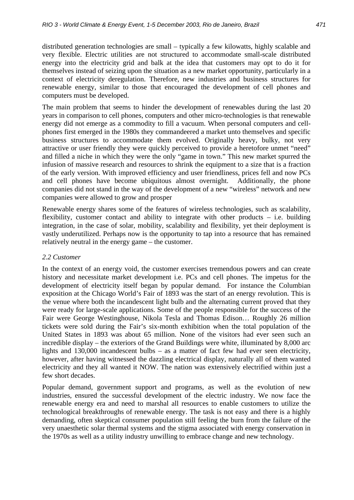distributed generation technologies are small – typically a few kilowatts, highly scalable and very flexible. Electric utilities are not structured to accommodate small-scale distributed energy into the electricity grid and balk at the idea that customers may opt to do it for themselves instead of seizing upon the situation as a new market opportunity, particularly in a context of electricity deregulation. Therefore, new industries and business structures for renewable energy, similar to those that encouraged the development of cell phones and computers must be developed.

The main problem that seems to hinder the development of renewables during the last 20 years in comparison to cell phones, computers and other micro-technologies is that renewable energy did not emerge as a commodity to fill a vacuum. When personal computers and cellphones first emerged in the 1980s they commandeered a market unto themselves and specific business structures to accommodate them evolved. Originally heavy, bulky, not very attractive or user friendly they were quickly perceived to provide a heretofore unmet "need" and filled a niche in which they were the only "game in town." This new market spurred the infusion of massive research and resources to shrink the equipment to a size that is a fraction of the early version. With improved efficiency and user friendliness, prices fell and now PCs and cell phones have become ubiquitous almost overnight. Additionally, the phone companies did not stand in the way of the development of a new "wireless" network and new companies were allowed to grow and prosper

Renewable energy shares some of the features of wireless technologies, such as scalability, flexibility, customer contact and ability to integrate with other products – i.e. building integration, in the case of solar, mobility, scalability and flexibility, yet their deployment is vastly underutilized. Perhaps now is the opportunity to tap into a resource that has remained relatively neutral in the energy game – the customer.

## *2.2 Customer*

In the context of an energy void, the customer exercises tremendous powers and can create history and necessitate market development i.e. PCs and cell phones. The impetus for the development of electricity itself began by popular demand. For instance the Columbian exposition at the Chicago World's Fair of 1893 was the start of an energy revolution. This is the venue where both the incandescent light bulb and the alternating current proved that they were ready for large-scale applications. Some of the people responsible for the success of the Fair were George Westinghouse, Nikola Tesla and Thomas Edison… Roughly 26 million tickets were sold during the Fair's six-month exhibition when the total population of the United States in 1893 was about 65 million. None of the visitors had ever seen such an incredible display – the exteriors of the Grand Buildings were white, illuminated by 8,000 arc lights and 130,000 incandescent bulbs – as a matter of fact few had ever seen electricity, however, after having witnessed the dazzling electrical display, naturally all of them wanted electricity and they all wanted it NOW. The nation was extensively electrified within just a few short decades.

Popular demand, government support and programs, as well as the evolution of new industries, ensured the successful development of the electric industry. We now face the renewable energy era and need to marshal all resources to enable customers to utilize the technological breakthroughs of renewable energy. The task is not easy and there is a highly demanding, often skeptical consumer population still feeling the burn from the failure of the very unaesthetic solar thermal systems and the stigma associated with energy conservation in the 1970s as well as a utility industry unwilling to embrace change and new technology.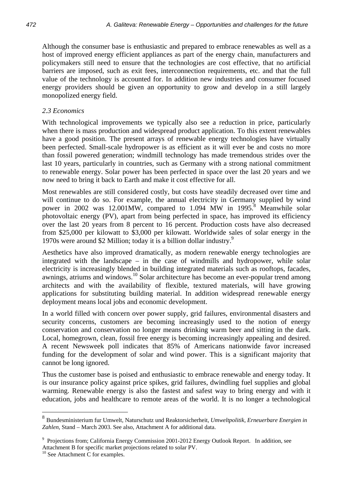Although the consumer base is enthusiastic and prepared to embrace renewables as well as a host of improved energy efficient appliances as part of the energy chain, manufacturers and policymakers still need to ensure that the technologies are cost effective, that no artificial barriers are imposed, such as exit fees, interconnection requirements, etc. and that the full value of the technology is accounted for. In addition new industries and consumer focused energy providers should be given an opportunity to grow and develop in a still largely monopolized energy field.

# *2.3 Economics*

With technological improvements we typically also see a reduction in price, particularly when there is mass production and widespread product application. To this extent renewables have a good position. The present arrays of renewable energy technologies have virtually been perfected. Small-scale hydropower is as efficient as it will ever be and costs no more than fossil powered generation; windmill technology has made tremendous strides over the last 10 years, particularly in countries, such as Germany with a strong national commitment to renewable energy. Solar power has been perfected in space over the last 20 years and we now need to bring it back to Earth and make it cost effective for all.

Most renewables are still considered costly, but costs have steadily decreased over time and will continue to do so. For example, the annual electricity in Germany supplied by wind power in 2002 was  $12.001\text{MW}$ , compared to  $1.094$  MW in  $1995$ .<sup>8</sup> Meanwhile solar photovoltaic energy (PV), apart from being perfected in space, has improved its efficiency over the last 20 years from 8 percent to 16 percent. Production costs have also decreased from \$25,000 per kilowatt to \$3,000 per kilowatt. Worldwide sales of solar energy in the 1970s were around \$2 Million; today it is a billion dollar industry.9

Aesthetics have also improved dramatically, as modern renewable energy technologies are integrated with the landscape – in the case of windmills and hydropower, while solar electricity is increasingly blended in building integrated materials such as rooftops, facades, awnings, atriums and windows.10 Solar architecture has become an ever-popular trend among architects and with the availability of flexible, textured materials, will have growing applications for substituting building material. In addition widespread renewable energy deployment means local jobs and economic development.

In a world filled with concern over power supply, grid failures, environmental disasters and security concerns, customers are becoming increasingly used to the notion of energy conservation and conservation no longer means drinking warm beer and sitting in the dark. Local, homegrown, clean, fossil free energy is becoming increasingly appealing and desired. A recent Newsweek poll indicates that 85% of Americans nationwide favor increased funding for the development of solar and wind power. This is a significant majority that cannot be long ignored.

Thus the customer base is poised and enthusiastic to embrace renewable and energy today. It is our insurance policy against price spikes, grid failures, dwindling fuel supplies and global warming. Renewable energy is also the fastest and safest way to bring energy and with it education, jobs and healthcare to remote areas of the world. It is no longer a technological

 $\overline{a}$ 

<sup>8</sup> Bundesministerium fur Umwelt, Naturschutz und Reaktorsicherheit, *Umweltpolitik, Erneuerbare Energien in Zahlen,* Stand – March 2003. See also, Attachment A for additional data.

<sup>&</sup>lt;sup>9</sup> Projections from; California Energy Commission 2001-2012 Energy Outlook Report. In addition, see Attachment B for specific market projections related to solar PV.<br><sup>10</sup> See Attachment C for examples.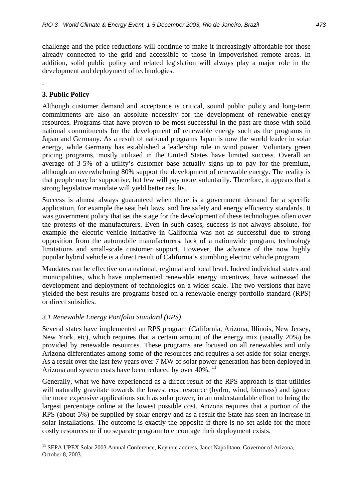challenge and the price reductions will continue to make it increasingly affordable for those already connected to the grid and accessible to those in impoverished remote areas. In addition, solid public policy and related legislation will always play a major role in the development and deployment of technologies.

# **3. Public Policy**

.

 $\overline{a}$ 

Although customer demand and acceptance is critical, sound public policy and long-term commitments are also an absolute necessity for the development of renewable energy resources. Programs that have proven to be most successful in the past are those with solid national commitments for the development of renewable energy such as the programs in Japan and Germany. As a result of national programs Japan is now the world leader in solar energy, while Germany has established a leadership role in wind power. Voluntary green pricing programs, mostly utilized in the United States have limited success. Overall an average of 3-5% of a utility's customer base actually signs up to pay for the premium, although an overwhelming 80% support the development of renewable energy. The reality is that people may be supportive, but few will pay more voluntarily. Therefore, it appears that a strong legislative mandate will yield better results.

Success is almost always guaranteed when there is a government demand for a specific application, for example the seat belt laws, and fire safety and energy efficiency standards. It was government policy that set the stage for the development of these technologies often over the protests of the manufacturers. Even in such cases, success is not always absolute, for example the electric vehicle initiative in California was not as successful due to strong opposition from the automobile manufacturers, lack of a nationwide program, technology limitations and small-scale customer support. However, the advance of the now highly popular hybrid vehicle is a direct result of California's stumbling electric vehicle program.

Mandates can be effective on a national, regional and local level. Indeed individual states and municipalities, which have implemented renewable energy incentives, have witnessed the development and deployment of technologies on a wider scale. The two versions that have yielded the best results are programs based on a renewable energy portfolio standard (RPS) or direct subsidies.

# *3.1 Renewable Energy Portfolio Standard (RPS)*

Several states have implemented an RPS program (California, Arizona, Illinois, New Jersey, New York, etc), which requires that a certain amount of the energy mix (usually 20%) be provided by renewable resources. These programs are focused on all renewables and only Arizona differentiates among some of the resources and requires a set aside for solar energy. As a result over the last few years over 7 MW of solar power generation has been deployed in Arizona and system costs have been reduced by over  $40\%$ . <sup>11</sup>

Generally, what we have experienced as a direct result of the RPS approach is that utilities will naturally gravitate towards the lowest cost resource (hydro, wind, biomass) and ignore the more expensive applications such as solar power, in an understandable effort to bring the largest percentage online at the lowest possible cost. Arizona requires that a portion of the RPS (about 5%) be supplied by solar energy and as a result the State has seen an increase in solar installations. The outcome is exactly the opposite if there is no set aside for the more costly resources or if no separate program to encourage their deployment exists.

<sup>&</sup>lt;sup>11</sup> SEPA UPEX Solar 2003 Annual Conference, Keynote address, Janet Napolitano, Governor of Arizona, October 8, 2003.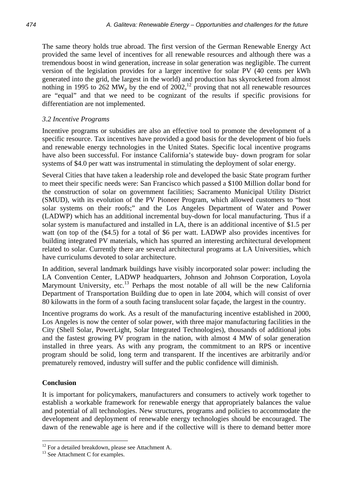The same theory holds true abroad. The first version of the German Renewable Energy Act provided the same level of incentives for all renewable resources and although there was a tremendous boost in wind generation, increase in solar generation was negligible. The current version of the legislation provides for a larger incentive for solar PV (40 cents per kWh generated into the grid, the largest in the world) and production has skyrocketed from almost nothing in 1995 to 262 MW<sub>p</sub> by the end of 2002,<sup>12</sup> proving that not all renewable resources are "equal" and that we need to be cognizant of the results if specific provisions for differentiation are not implemented.

# *3.2 Incentive Programs*

Incentive programs or subsidies are also an effective tool to promote the development of a specific resource. Tax incentives have provided a good basis for the development of bio fuels and renewable energy technologies in the United States. Specific local incentive programs have also been successful. For instance California's statewide buy- down program for solar systems of \$4.0 per watt was instrumental in stimulating the deployment of solar energy.

Several Cities that have taken a leadership role and developed the basic State program further to meet their specific needs were: San Francisco which passed a \$100 Million dollar bond for the construction of solar on government facilities; Sacramento Municipal Utility District (SMUD), with its evolution of the PV Pioneer Program, which allowed customers to "host solar systems on their roofs;" and the Los Angeles Department of Water and Power (LADWP) which has an additional incremental buy-down for local manufacturing. Thus if a solar system is manufactured and installed in LA, there is an additional incentive of \$1.5 per watt (on top of the  $(\$4.5)$  for a total of \$6 per watt. LADWP also provides incentives for building integrated PV materials, which has spurred an interesting architectural development related to solar. Currently there are several architectural programs at LA Universities, which have curriculums devoted to solar architecture.

In addition, several landmark buildings have visibly incorporated solar power: including the LA Convention Center, LADWP headquarters, Johnson and Johnson Corporation, Loyola Marymount University, etc.<sup>13</sup> Perhaps the most notable of all will be the new California Department of Transportation Building due to open in late 2004, which will consist of over 80 kilowatts in the form of a south facing translucent solar façade, the largest in the country.

Incentive programs do work. As a result of the manufacturing incentive established in 2000, Los Angeles is now the center of solar power, with three major manufacturing facilities in the City (Shell Solar, PowerLight, Solar Integrated Technologies), thousands of additional jobs and the fastest growing PV program in the nation, with almost 4 MW of solar generation installed in three years. As with any program, the commitment to an RPS or incentive program should be solid, long term and transparent. If the incentives are arbitrarily and/or prematurely removed, industry will suffer and the public confidence will diminish.

## **Conclusion**

 $\overline{a}$ 

It is important for policymakers, manufacturers and consumers to actively work together to establish a workable framework for renewable energy that appropriately balances the value and potential of all technologies. New structures, programs and policies to accommodate the development and deployment of renewable energy technologies should be encouraged. The dawn of the renewable age is here and if the collective will is there to demand better more

<sup>&</sup>lt;sup>12</sup> For a detailed breakdown, please see Attachment A.

<sup>&</sup>lt;sup>13</sup> See Attachment C for examples.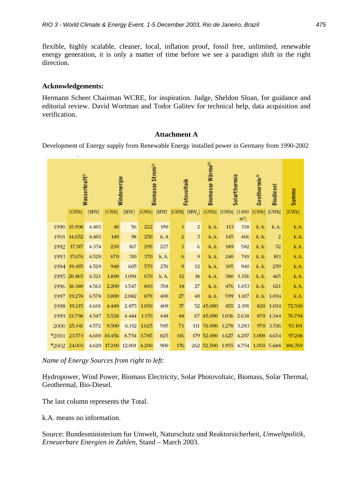flexible, highly scalable, cleaner, local, inflation proof, fossil free, unlimited, renewable energy generation, it is only a matter of time before we see a paradigm shift in the right direction.

## **Acknowledgements:**

Hermann Scheer Chairman WCRE, for inspiration. Judge, Sheldon Sloan, for guidance and editorial review. David Wortman and Todor Galitev for technical help, data acquisition and verification.

### **Attachment A**

Development of Energy supply from Renewable Energy installed power in Germany from 1990-2002

| Wasserkraft <sup>1</sup> |             |       | Windenergie  |        | Strom <sup>2)</sup><br><b>Biomasse</b> |       | Fotovoltaik             |                                                            | Biomasse Wärme <sup>3)</sup> |              | Solarthermie     | Geothermie <sup>3)</sup> | <b>Biodiesel</b> | Summe   |
|--------------------------|-------------|-------|--------------|--------|----------------------------------------|-------|-------------------------|------------------------------------------------------------|------------------------------|--------------|------------------|--------------------------|------------------|---------|
|                          | [GWh]       | [MW]  | [GWh]        | [WW]   | [GWh] [MW]                             |       |                         | $\left[\text{GWh}\right]\left[\text{MW}_{\text{n}}\right]$ | [GWh]                        | [GWh] [1.000 | $\mathrm{m}^2$ ] | $[GWh]$ $[GWh]$          |                  | [GWh]   |
|                          | 1990 15.908 | 4.403 | 40           | 56     | 222                                    | 190   | $\mathbf{1}$            | 2                                                          | k.A.                         | 113          | 338              | k. A.                    | k.A.             | k.A.    |
|                          | 1991 14.652 | 4.403 | 140          | 98     | 250                                    | k.A   | $\overline{\mathbf{2}}$ | 3                                                          | k.A.                         | 145          | 466              | k. A.                    | 2                | k.A.    |
| 1992                     | 17.317      | 4.374 | 230          | 167    | 295                                    | 227   | 3                       | 6                                                          | k.A.                         | 189          | 582              | k. A.                    | 52               | k.A.    |
| 1993                     | 17.676      | 4.520 | 670          | 310    | 370                                    | k. A. | 6                       | 9                                                          | k.A.                         | 240          | 749              | k. A.                    | 103              | k.A.    |
|                          | 1994 19.495 | 4.529 | 940          | 605    | 570                                    | 276   | 9                       | 12                                                         | k.A.                         | 305          | 940              | k. A.                    | 259              | k.A.    |
|                          | 1995 20.865 | 4.521 | 1.800        | 1.094  | 670                                    | k.A.  | 12                      | 18                                                         | k.A.                         | 380          | 1.156            | k. A.                    | 465              | k.A.    |
|                          | 1996 18.380 | 4.563 | 2.200        | 1.547  | 803                                    | 358   | 18                      | 27                                                         | k.A.                         | 476          | 1.453            | k. A.                    | 621              | k.A.    |
|                          | 1997 19.274 | 4.578 | 3.000        | 2.082  | 879                                    | 400   | 27                      | 40                                                         | k.A.                         | 599          | 1.817            |                          | k.A. 1.034       | k.A.    |
|                          | 1998 19.215 | 4.601 | 4.489        | 2.875  | 1.050                                  | 409   | 37                      |                                                            | 52 45.000                    | 855          | 2.191            |                          | 820 1.034        | 72.500  |
| 1999                     | 21.798      | 4.547 | 5.528        | 4.444  | 1.170                                  | 448   | 48                      |                                                            | 67 45.000                    | 1.036        | 2.638            |                          | 870 1.344        | 76.794  |
| 2000                     | 25.141      | 4.572 | 9.500        |        | 6.112 1.625                            | 585   | 71                      |                                                            | 111 51.000                   |              | 1.278 3.283      |                          | 970 3.516        | 93.101  |
| 42001                    | 23.570      |       | 4.600 10.456 |        | 8.754 3.785                            | 825   | 116                     |                                                            | 179 52.000                   | 1.627        | 4.207            | 1.000                    | 4.654            | 97.208  |
| 42002                    | 24.000      | 4.620 | 17.200       | 12.001 | 4.200                                  | 900   | 176                     |                                                            | 262 52.500                   | 1.955        | 4.754            | 1.050 5.688              |                  | 106.769 |

*Name of Energy Sources from right to left:* 

Hydropower, Wind Power, Biomass Electricity, Solar Photovoltaic, Biomass, Solar Thermal, Geothermal, Bio-Diesel.

The last column represents the Total.

k.A. means no information.

Source: Bundesministerium fur Umwelt, Naturschutz und Reaktorsicherheit, *Umweltpolitik, Erneuerbare Energien in Zahlen,* Stand – March 2003.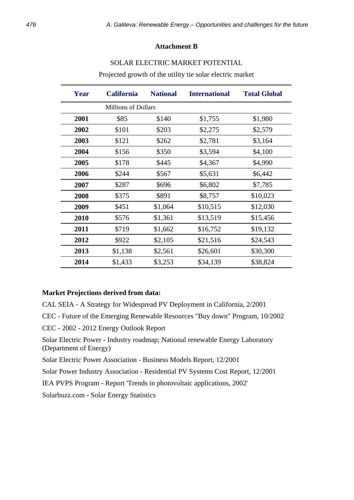#### **Attachment B**

## SOLAR ELECTRIC MARKET POTENTIAL

**Year California National International Total Global**  Millions of Dollars \$85 \$140 \$1,755 \$1,980 \$101 \$203 \$2,275 \$2,579 \$121 \$262 \$2,781 \$3,164 \$156 \$350 \$3,594 \$4,100 \$178 \$445 \$4,367 \$4,990 \$244 \$567 \$5,631 \$6,442 \$287 \$696 \$6,802 \$7,785 \$375 \$891 \$8,757 \$10,023 \$451 \$1,064 \$10,515 \$12,030 \$576 \$1,361 \$13,519 \$15,456 \$719 \$1,662 \$16,752 \$19,132 \$922 \$2,105 \$21,516 \$24,543 \$1,138 \$2,561 \$26,601 \$30,300 \$1,433 \$3,253 \$34,139 \$38,824

Projected growth of the utility tie solar electric market

### **Market Projections derived from data:**

CAL SEIA - A Strategy for Widespread PV Deployment in California, 2/2001

CEC - Future of the Emerging Renewable Resources "Buy down" Program, 10/2002

CEC - 2002 - 2012 Energy Outlook Report

Solar Electric Power - Industry roadmap; National renewable Energy Laboratory (Department of Energy)

Solar Electric Power Association - Business Models Report, 12/2001

Solar Power Industry Association - Residential PV Systems Cost Report, 12/2001

IEA PVPS Program - Report 'Trends in photovoltaic applications, 2002'

Solarbuzz.com - Solar Energy Statistics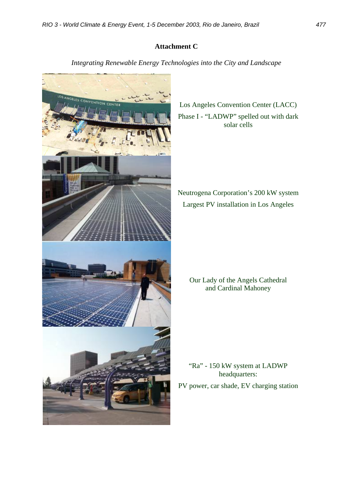# **Attachment C**

*Integrating Renewable Energy Technologies into the City and Landscape* 



Los Angeles Convention Center (LACC) Phase I - "LADWP" spelled out with dark solar cells

Neutrogena Corporation's 200 kW system Largest PV installation in Los Angeles

Our Lady of the Angels Cathedral and Cardinal Mahoney

"Ra" - 150 kW system at LADWP headquarters:

PV power, car shade, EV charging station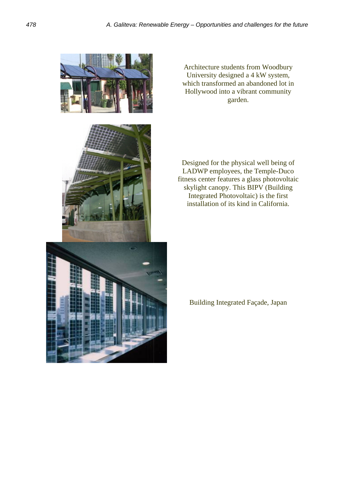

Architecture students from Woodbury University designed a 4 kW system, which transformed an abandoned lot in Hollywood into a vibrant community garden.

Designed for the physical well being of LADWP employees, the Temple-Duco fitness center features a glass photovoltaic skylight canopy. This BIPV (Building Integrated Photovoltaic) is the first installation of its kind in California.

Building Integrated Façade, Japan